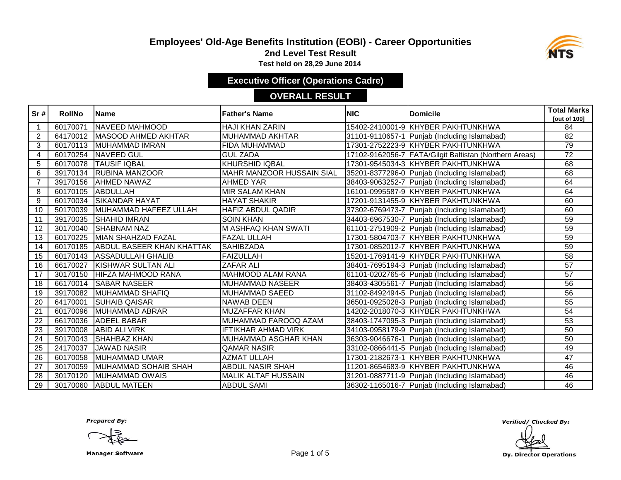### **Employees' Old-Age Benefits Institution (EOBI) - Career Opportunities**



**2nd Level Test Result**

**Test held on 28,29 June 2014** 

**Executive Officer (Operations Cadre)**

#### **OVERALL RESULT**

| Sr#             | <b>RollNo</b> | <b>Name</b>                      | <b>Father's Name</b>             | <b>NIC</b> | Domicile                                               | <b>Total Marks</b>  |
|-----------------|---------------|----------------------------------|----------------------------------|------------|--------------------------------------------------------|---------------------|
|                 |               |                                  |                                  |            |                                                        | <b>Tout of 1001</b> |
| $\mathbf{1}$    | 60170071      | <b>NAVEED MAHMOOD</b>            | <b>HAJI KHAN ZARIN</b>           |            | 15402-2410001-9 KHYBER PAKHTUNKHWA                     | 84                  |
| $\overline{2}$  | 64170012      | <b>MASOOD AHMED AKHTAR</b>       | MUHAMMAD AKHTAR                  |            | 31101-9110657-1 Punjab (Including Islamabad)           | 82                  |
| 3               | 60170113      | MUHAMMAD IMRAN                   | <b>FIDA MUHAMMAD</b>             |            | 17301-2752223-9 KHYBER PAKHTUNKHWA                     | 79                  |
| 4               |               | 60170254 NAVEED GUL              | <b>GUL ZADA</b>                  |            | 17102-9162056-7 FATA/Gilgit Baltistan (Northern Areas) | 72                  |
| 5               | 60170078      | <b>TAUSIF IQBAL</b>              | <b>KHURSHID IQBAL</b>            |            | 17301-9545034-3 KHYBER PAKHTUNKHWA                     | 68                  |
| 6               | 39170134      | <b>RUBINA MANZOOR</b>            | <b>MAHR MANZOOR HUSSAIN SIAL</b> |            | 35201-8377296-0 Punjab (Including Islamabad)           | 68                  |
| $\overline{7}$  | 39170156      | <b>AHMED NAWAZ</b>               | <b>AHMED YAR</b>                 |            | 38403-9063252-7 Punjab (Including Islamabad)           | 64                  |
| 8               | 60170105      | <b>ABDULLAH</b>                  | <b>MIR SALAM KHAN</b>            |            | 16101-0995587-9 KHYBER PAKHTUNKHWA                     | 64                  |
| 9               | 60170034      | <b>ISIKANDAR HAYAT</b>           | <b>HAYAT SHAKIR</b>              |            | 17201-9131455-9 KHYBER PAKHTUNKHWA                     | 60                  |
| 10              | 50170039      | MUHAMMAD HAFEEZ ULLAH            | HAFIZ ABDUL QADIR                |            | 37302-6769473-7 Punjab (Including Islamabad)           | 60                  |
| 11              | 39170035      | <b>SHAHID IMRAN</b>              | <b>SOIN KHAN</b>                 |            | 34403-6967530-7 Punjab (Including Islamabad)           | 59                  |
| 12              | 30170040      | <b>SHABNAM NAZ</b>               | <b>M ASHFAQ KHAN SWATI</b>       |            | 61101-2751909-2 Punjab (Including Islamabad)           | 59                  |
| 13              | 60170225      | <b>MIAN SHAHZAD FAZAL</b>        | <b>FAZAL ULLAH</b>               |            | 17301-5804703-7 KHYBER PAKHTUNKHWA                     | 59                  |
| 14              | 60170185      | <b>ABDUL BASEER KHAN KHATTAK</b> | <b>SAHIBZADA</b>                 |            | 17301-0852012-7 KHYBER PAKHTUNKHWA                     | 59                  |
| 15              | 60170143      | <b>ASSADULLAH GHALIB</b>         | <b>FAIZULLAH</b>                 |            | 15201-1769141-9 KHYBER PAKHTUNKHWA                     | 58                  |
| 16              | 66170027      | KISHWAR SULTAN ALI               | <b>ZAFAR ALI</b>                 |            | 38401-7695194-3 Punjab (Including Islamabad)           | $\overline{57}$     |
| 17              | 30170150      | HIFZA MAHMOOD RANA               | MAHMOOD ALAM RANA                |            | 61101-0202765-6 Punjab (Including Islamabad)           | $\overline{57}$     |
| 18              | 66170014      | <b>SABAR NASEER</b>              | <b>MUHAMMAD NASEER</b>           |            | 38403-4305561-7 Punjab (Including Islamabad)           | 56                  |
| 19              | 39170082      | MUHAMMAD SHAFIQ                  | <b>MUHAMMAD SAEED</b>            |            | 31102-8492494-5 Punjab (Including Islamabad)           | 56                  |
| 20              | 64170001      | <b>SUHAIB QAISAR</b>             | <b>NAWAB DEEN</b>                |            | 36501-0925028-3 Punjab (Including Islamabad)           | $\overline{55}$     |
| $\overline{21}$ | 60170096      | <b>MUHAMMAD ABRAR</b>            | <b>MUZAFFAR KHAN</b>             |            | 14202-2018070-3 KHYBER PAKHTUNKHWA                     | 54                  |
| 22              | 66170036      | <b>ADEEL BABAR</b>               | MUHAMMAD FAROOQ AZAM             |            | 38403-1747095-3 Punjab (Including Islamabad)           | 53                  |
| 23              | 39170008      | <b>ABID ALI VIRK</b>             | <b>IFTIKHAR AHMAD VIRK</b>       |            | 34103-0958179-9 Punjab (Including Islamabad)           | 50                  |
| 24              | 50170043      | <b>SHAHBAZ KHAN</b>              | MUHAMMAD ASGHAR KHAN             |            | 36303-9046676-1 Punjab (Including Islamabad)           | 50                  |
| 25              | 24170037      | <b>JAWAD NASIR</b>               | <b>QAMAR NASIR</b>               |            | 33102-0866441-5 Punjab (Including Islamabad)           | 49                  |
| 26              | 60170058      | <b>MUHAMMAD UMAR</b>             | <b>AZMAT ULLAH</b>               |            | 17301-2182673-1 KHYBER PAKHTUNKHWA                     | 47                  |
| 27              | 30170059      | MUHAMMAD SOHAIB SHAH             | <b>ABDUL NASIR SHAH</b>          |            | 11201-8654683-9 KHYBER PAKHTUNKHWA                     | 46                  |
| 28              | 30170120      | MUHAMMAD OWAIS                   | <b>MALIK ALTAF HUSSAIN</b>       |            | 31201-0887711-9 Punjab (Including Islamabad)           | 46                  |
| 29              |               | 30170060 ABDUL MATEEN            | <b>ABDUL SAMI</b>                |            | 36302-1165016-7 Punjab (Including Islamabad)           | 46                  |

**Prepared By:** 

Manager Software **Example 2 and Software** Page 1 of 5

Verified/ Checked By:

Dy. Director Operations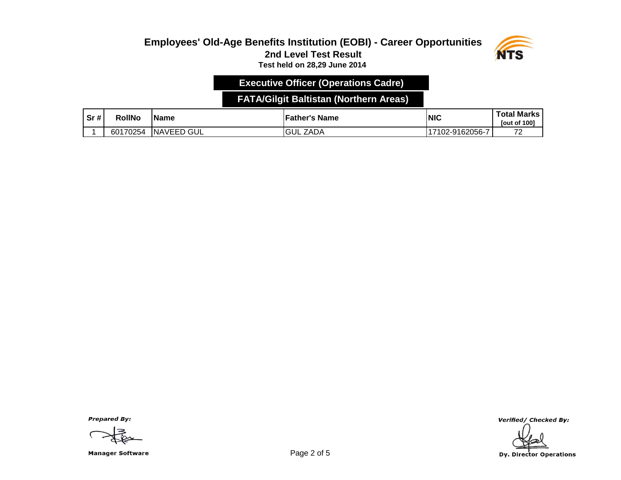#### **Employees' Old-Age Benefits Institution (EOBI) - Career Opportunities 2nd Level Test Result Test held on 28,29 June 2014**



# **Executive Officer (Operations Cadre)**

### **FATA/Gilgit Baltistan (Northern Areas)**

| Sr# | RollNo   | 'Name              | <b>Father's Name</b> | <b>INIC</b>     | <b>Total Marks</b><br><b>Tout of 1001</b> |
|-----|----------|--------------------|----------------------|-----------------|-------------------------------------------|
|     | 60170254 | ` GUL<br>. INAVEED | <b>GUL ZADA</b>      | 17102-9162056-7 | $\overline{\phantom{a}}$<br>-             |

**Prepared By:** 

Manager Software **Example 2 of 5** and 2 of 5

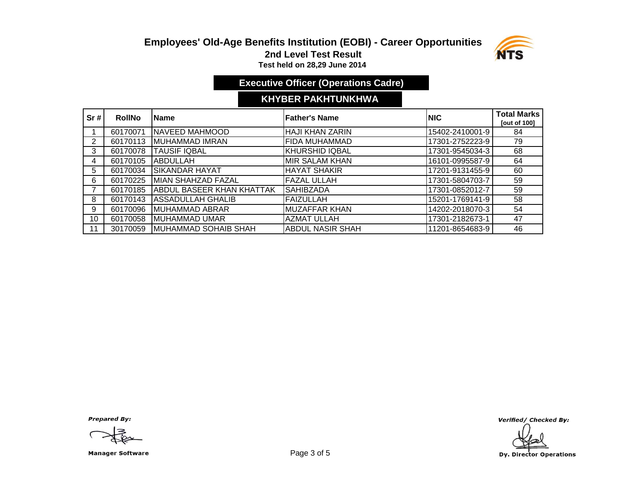# **Employees' Old-Age Benefits Institution (EOBI) - Career Opportunities 2nd Level Test Result**



**Test held on 28,29 June 2014** 

# **Executive Officer (Operations Cadre)**

### **KHYBER PAKHTUNKHWA**

| Sr# | <b>RollNo</b> | <b>IName</b>                     | <b>Father's Name</b>    | INIC.           | <b>Total Marks</b><br><b>Tout of 1001</b> |
|-----|---------------|----------------------------------|-------------------------|-----------------|-------------------------------------------|
|     | 60170071      | NAVEED MAHMOOD                   | <b>HAJI KHAN ZARIN</b>  | 15402-2410001-9 | 84                                        |
| 2   | 60170113      | IMUHAMMAD IMRAN                  | <b>FIDA MUHAMMAD</b>    | 17301-2752223-9 | 79                                        |
| 3   | 60170078      | <b>TAUSIF IQBAL</b>              | KHURSHID IQBAL          | 17301-9545034-3 | 68                                        |
| 4   | 60170105      | IABDULLAH                        | MIR SALAM KHAN          | 16101-0995587-9 | 64                                        |
| 5   | 60170034      | <b>SIKANDAR HAYAT</b>            | <b>HAYAT SHAKIR</b>     | 17201-9131455-9 | 60                                        |
| 6   | 60170225      | <b>MIAN SHAHZAD FAZAL</b>        | <b>FAZAL ULLAH</b>      | 17301-5804703-7 | 59                                        |
|     | 60170185      | <b>ABDUL BASEER KHAN KHATTAK</b> | <b>SAHIBZADA</b>        | 17301-0852012-7 | 59                                        |
| 8   | 60170143      | IASSADULLAH GHALIB               | <b>FAIZULLAH</b>        | 15201-1769141-9 | 58                                        |
| 9   | 60170096      | <b>IMUHAMMAD ABRAR</b>           | <b>MUZAFFAR KHAN</b>    | 14202-2018070-3 | 54                                        |
| 10  | 60170058      | <b>IMUHAMMAD UMAR</b>            | <b>AZMAT ULLAH</b>      | 17301-2182673-1 | 47                                        |
| 11  | 30170059      | MUHAMMAD SOHAIB SHAH             | <b>ABDUL NASIR SHAH</b> | 11201-8654683-9 | 46                                        |

**Prepared By:** 

Manager Software **Example 2 of 5** and 2 of 5

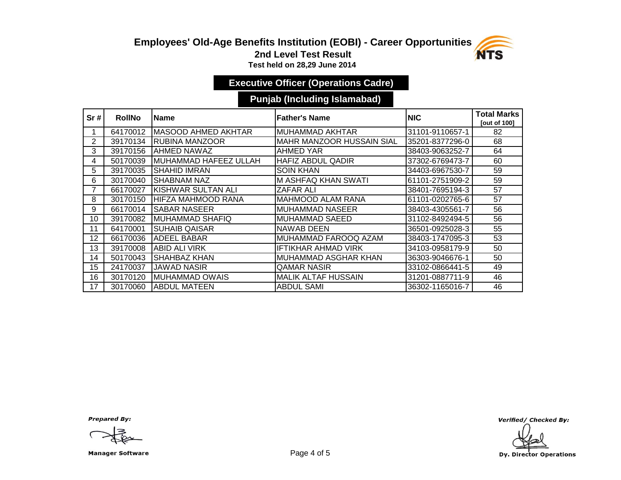### **Employees' Old-Age Benefits Institution (EOBI) - Career Opportunities**



**2nd Level Test Result**

**Test held on 28,29 June 2014** 

# **Executive Officer (Operations Cadre)**

### **Punjab (Including Islamabad)**

| Sr# | <b>RollNo</b> | <b>IName</b>                   | <b>Father's Name</b>             | <b>NIC</b>      | <b>Total Marks</b><br>[out of 100] |
|-----|---------------|--------------------------------|----------------------------------|-----------------|------------------------------------|
|     | 64170012      | <b>I</b> MASOOD AHMED AKHTAR   | MUHAMMAD AKHTAR                  | 31101-9110657-1 | 82                                 |
| 2   | 39170134      | <b>RUBINA MANZOOR</b>          | <b>MAHR MANZOOR HUSSAIN SIAL</b> | 35201-8377296-0 | 68                                 |
| 3   | 39170156      | <b>AHMED NAWAZ</b>             | <b>AHMED YAR</b>                 | 38403-9063252-7 | 64                                 |
| 4   | 50170039      | <b>I</b> MUHAMMAD HAFEEZ ULLAH | <b>HAFIZ ABDUL QADIR</b>         | 37302-6769473-7 | 60                                 |
| 5.  | 39170035      | <b>ISHAHID IMRAN</b>           | <b>SOIN KHAN</b>                 | 34403-6967530-7 | 59                                 |
| 6   | 30170040      | <b>ISHABNAM NAZ</b>            | <b>M ASHFAQ KHAN SWATI</b>       | 61101-2751909-2 | 59                                 |
| 7   | 66170027      | <b>IKISHWAR SULTAN ALI</b>     | ZAFAR ALI                        | 38401-7695194-3 | 57                                 |
| 8   | 30170150      | IHIFZA MAHMOOD RANA            | <b>MAHMOOD ALAM RANA</b>         | 61101-0202765-6 | 57                                 |
| 9   | 66170014      | <b>ISABAR NASEER</b>           | <b>MUHAMMAD NASEER</b>           | 38403-4305561-7 | 56                                 |
| 10  | 39170082      | <b>IMUHAMMAD SHAFIQ</b>        | MUHAMMAD SAEED                   | 31102-8492494-5 | 56                                 |
| 11  | 64170001      | <b>I</b> SUHAIB QAISAR         | NAWAB DEEN                       | 36501-0925028-3 | 55                                 |
| 12  | 66170036      | <b>ADEEL BABAR</b>             | MUHAMMAD FAROOQ AZAM             | 38403-1747095-3 | 53                                 |
| 13  | 39170008      | <b>ABID ALI VIRK</b>           | IFTIKHAR AHMAD VIRK              | 34103-0958179-9 | 50                                 |
| 14  | 50170043      | ISHAHBAZ KHAN                  | MUHAMMAD ASGHAR KHAN             | 36303-9046676-1 | 50                                 |
| 15  | 24170037      | <b>JAWAD NASIR</b>             | <b>QAMAR NASIR</b>               | 33102-0866441-5 | 49                                 |
| 16  | 30170120      | IMUHAMMAD OWAIS                | <b>MALIK ALTAF HUSSAIN</b>       | 31201-0887711-9 | 46                                 |
| 17  | 30170060      | IABDUL MATEEN                  | ABDUL SAMI                       | 36302-1165016-7 | 46                                 |

**Prepared By:** 

Manager Software **Example 2 and Software** Page 4 of 5